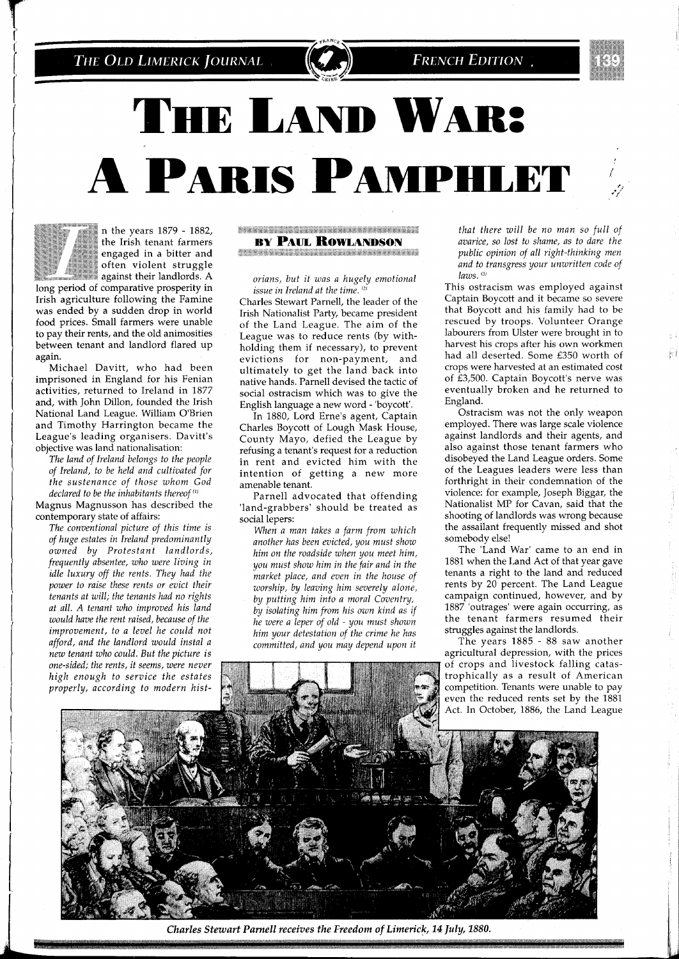# THE LAND WAR: A PARIS PAMPHLET



n the years 1879 - 1882, the Irish tenant farmers<br>engaged in a bitter and I" \* "" "" "" n the years 1879 - 1882, the Irish tenant farmers engaged in a bitter and often violent struggle often violent struggle<br>against their landlords. A

long period of comparative prosperity in Irish agriculture following the Famine was ended by a sudden drop in world food prices. Small farmers were unable to pay their rents, and the old animosities between tenant and landlord flared up again.

Michael Davitt, who had been imprisoned in England for his Fenian activities, returned to Ireland in 1877 and, with John Dillon, founded the Irish National Land League. William O'Brien and Timothy Harrington became the League's leading organisers. Davitt's objective was land nationalisation:

*The land of Ireland belongs to the people of Ireland, to be held and cultivated for the sustenance of those whom God declared to be the inhabitants thereof*  $(1)$ 

Magnus Magnusson has described the contemporary state of affairs:

*The conventional picture of this time is of huge estates in Ireland predominantly owned by Protestant landlords, frequently absentee, who were living in idle luxury off the rents. They had the power to raise these rents or evict their tenants at will; the tenants had no rights at all. A tenant who improved his land would have the rent raised, because of the improvement, to a level he could not afford, and the landlord would instal a new tenant who could. But the picture is*  one-sided; the rents, it seems, were never high enough to service the estates properly, according to modern hist**The Company of the Company of the Company of the Company of the Company of the Company of the Company of the C BY PAUL ROWLANDSON** 

**The County of the County of County and County of the County of The County of The County of The County of The Co** 

*ovians, but it was a hugely emotional issue in Ireland at the time.*<sup>(2)</sup>

Charles Stewart Parnell, the leader of the Irish Nationalist Party, became president of the Land League. The aim of the League was to reduce rents (by withholding them if necessary), to prevent evictidns for non-payment, and ultimately to get the land back into native hands. Parnell devised the tactic of social ostracism which was to give the English language a new word - 'boycott'.

In 1880, Lord Erne's agent, Captain Charles Boycott of Lough Mask House, County Mayo, defied the League by refusing a tenant's request for a reduction in rent and evicted him with the intention of getting a new more amenable tenant.

Parnell advocated that offending 'land-grabbers' should be treated as social lepers:

*When a man takes a farm from which another has been evicted, you must show him on the voadside when you meet him, you must show him in the fair and in the market place, and even in the house of worship, by leaving him severely alone, by putting him into a moral Coventry, by isolating him from his own kind as if he were a leper of old* - *you must shown him your detestation of the crime he has committed, and you may depend upon it* 

*that there will be no man so full of avarzce, so lost to shame, as to dare the public opinion of all right-thinking men* and to transgress your unwritten code of *laws.* (3)

This ostracism was employed against Captain Boycott and it became so severe that Boycott and his family had to be rescued by troops. Volunteer Orange labourers from Ulster were brought in to harvest his crops after his own workmen had all deserted. Some £350 worth of crops were harvested at an estimated cost of £3,500. Captain Boycott's nerve was eventually broken and he returned to England.

Ostracism was not the only weapon employed. There was large scale violence against landlords and their agents, and also against those tenant farmers who disobeyed the Land League orders. Some of the Leagues leaders were less than forthright in their condemnation of the violence: for example, Joseph Biggar, the Nationalist MP for Cavan, said that the shooting of landlords was wrong because the assailant frequently missed and shot somebody else!

The 'Land War' came to an end in 1881 when the Land Act of that year gave tenants a right to the land and reduced rents by 20 percent. The Land League campaign continued, however, and by 1887 'outrages' were again occurring, as the tenant farmers resumed their struggles against the landlords.

The vears 1885 - 88 saw another agricultural depression, with the prices trophically as a result of American competition. Tenants were unable to pay even the reduced rents set by the 1881 Act. In October, 1886, the Land League

1,



*Charles Stewart Parnell receives the Freedom of Limerick, 14 July, 1880.*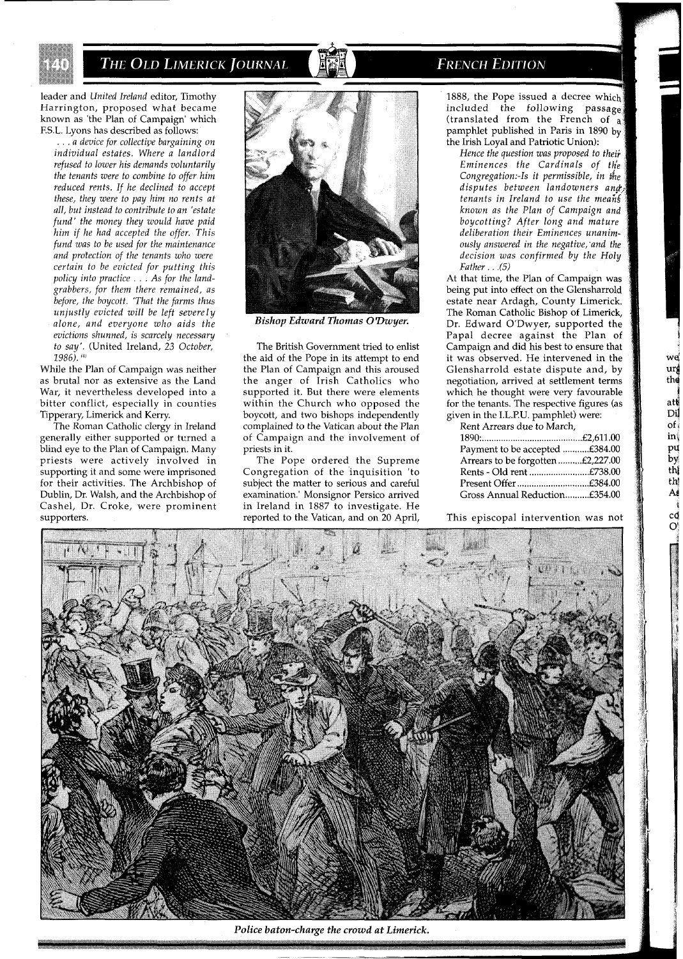leader and *United Ireland* editor, Timothy Harrington, proposed what became known as 'the Plan of Campaign' which F.S.L. Lyons has described as follows:

... *a device for collective bargaining on individual estates. Where a landlord refused to lower his demands voluntarily the tenants were to combine to offer him reduced rmts. If he declined to accept these, they were to pay him no rents at ull, but instead to contribute to an 'estate fund' the money they would have paid him if he had accepted the offer. This fund was to be used for the maintenance and protection of the tenants who were certain to be evicted for putting this policy into practice* ... *As for the landgrabbers, for them there remained, as before, the boycott. 'That the farms thus unjustly evicted will be left severely alone, and everyone who aids the evictions shunned, is scarcely necessary to say'.* (United Ireland, *23 October,*  1986). (4)

While the Plan of Campaign was neither as brutal nor as extensive as the Land War, it nevertheless developed into a bitter conflict, especially in counties Tipperary, Limerick and Kerry.

The Roman Catholic clergy in Ireland generally either supported or turned a blind eye to the Plan of Campaign. Many priests were actively involved in supporting it and some were imprisoned for their activities. The Archbishop of Dublin, Dr. Walsh, and the Archbishop of Cashel, Dr. Croke, were prominent supporters.



*Bishop Edward Thomas O'Dwyer.* 

The British Government tried to enlist the aid of the Pope in its attempt to end the Plan of Campaign and this aroused the anger of Irish Catholics who supported it. But there were elements within the Church who opposed the boycott, and two bishops independently complained to the Vatican about the Plan of Campaign and the involvement of priests in it.

The Pope ordered the Supreme Congregation of the inquisition 'to subject the matter to serious and careful examination.' Monsignor Persico arrived in Ireland in 1887 to investigate. He reported to the Vatican, and on 20 April,

# **FRENCH EDITION**

1888, the Pope issued a decree which included the following passage (translated from the French of **a**  pamphlet published in Paris in 1890 by the Irish Loyal and Patriotic Union):

*Hence the question was proposed to theii Eminences the Cardinals of fhk Congregation:-Is it permissible, in the disputes between landowners an@. tenants in Ireland to use the mearih known as the Plan of Campaign and boycotting? After long and mature deliberation their Eminences unanimously answered in the negative;and the decision was confirmed by the Holy Father.* . .(5)

At that time, the Plan of Campaign was being put into effect on the Glensharrold estate near Ardagh, County Limerick. The Roman Catholic Bishop of Limerick, Dr. Edward O'Dwyer, supported the Papal decree against the Plan of Campaign and did his best to ensure that it was observed. He intervened in the Glensharrold estate dispute and, by negotiation, arrived at settlement terms which he thought were very favourable for the tenants. The respective figures (as given in the I.L.P.U. pamphlet) were:

we ur the att Di  $of$  $\mathop{\rm in}\nolimits\emptyset$ pų Ъy th  $th$ A cđ  $\mathbf{O}^i$ 

Rent Arrears due to March,

| Payment to be accepted £384.00    |  |
|-----------------------------------|--|
| Arrears to be forgotten £2,227.00 |  |
| Rents - Old rent £738.00          |  |
|                                   |  |
| Gross Annual Reduction£354.00     |  |

This episcopal intervention was not



*Police baton-charge the crowd at Limerick.*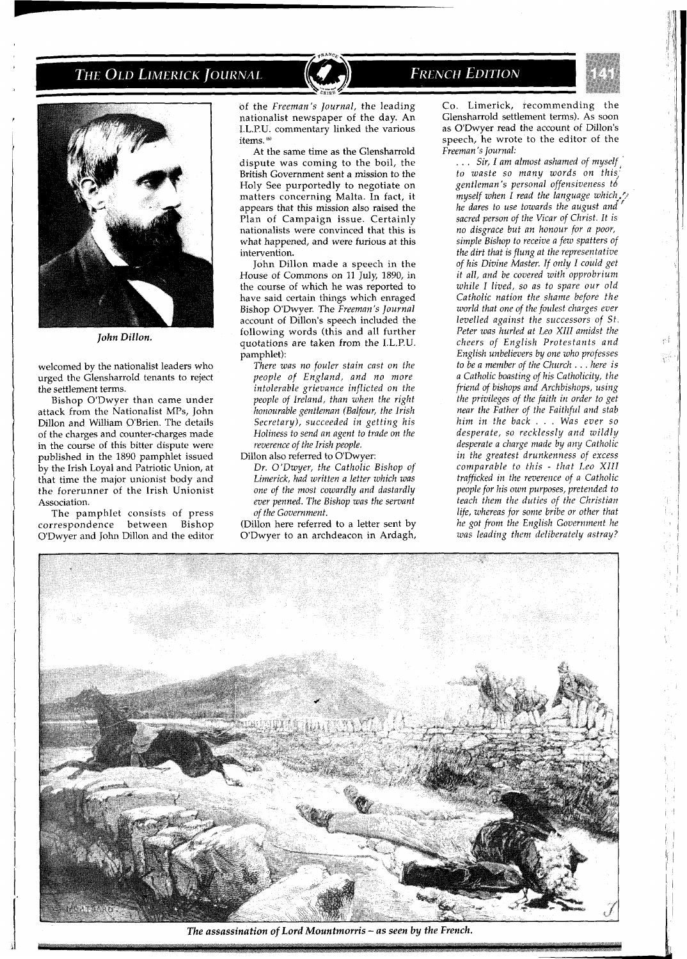

*John Dillon.* 

welcomed by the nationalist leaders who urged the Glensharrold tenants to reject the settlement terms.

Bishop O'Dwyer than came under attack from the Nationalist MPS, John Dillon and William O'Brien. The details of the charges and counter-charges made in the course of this bitter dispute were published in the 1890 pamphlet issued by the Irish Loyal and Patriotic Union, at that time the major unionist body and the forerunner of the Irish Unionist Association.

The pamphlet consists of press<br>rrespondence between Bishop correspondence between O'Dwyer and John Dillon and the editor

of the *Freeman's Journal,* the leading nationalist newspaper of the day. An I.L.P.U. commentary linked the various items. (6)

At the same time as the Glensharrold dispute was coming to the boil, the British Government sent a mission to the Holy See purportedly to negotiate on matters concerning Malta. In fact, it appears that this mission also raised the Plan of Campaign issue. Certainly nationalists were convinced that this is what happened, and were furious at this intervention.

John Dillon made a speech in the House of Commons on 11 July, 1890, in the course of which he was reported to have said certain things which enraged Bishop O'Dwyer. The *Freeman's Journal*  account of Dillon's speech included the following words (this and all further quotations are taken from the I.L.P.U. pamphlet):

*There was no fouler stain cast on the people of England, and no more intolerable grievance inflicted on the people of Ireland, than when the right honourable gentleman (Balfour, the Irish Secretary), succeeded in getting his Holiness to send an agent to trade on the reverence of the Irish people.* 

Dillon also referred to O'Dwyer: *Dr. O'Dwyer, the Catholic Bishop of Limerick, had written a letter which was one of the most cowardly and dastardly ever penned. The Bishop was the servant of the Government.* 

(Dillon here referred to a letter sent by O'Dwyer to an archdeacon in Ardagh,

# **FRENCH EDITION**



юÊ 과

Co. Limerick, recommending the Glensharrold settlement terms). As soon as O'Dwyer read the account of Dillon's speech, he wrote to the editor of the *Freeman 'S Journal:* 

.. Sir, I am almost ashamed of myself *to waste so many words on this,' gentleman's personal offensiveness t6 myself when I read the language which,.? he dares to use towards the august and sacred person of the Vicar of Christ. It is no disgrace but an honour for a poor, simple Bishop to receive a few spatters of the dirt that is flung at the representative of his Divine Master. If only I could get it all, and be covered with opprobrium while I lived, so as to spare our old Catholic nation the shame before the world that one of the foulest charges ever levelled against the successors of St. Peter was hurled at Leo XIII amidst the cheers of English Protestants and English unbelievers by one who professes to be a member of the Church* . . . *here is a Catholic boasting of his Catholicity, the friend of bishops and Archbishops, using the privileges of the faith in order to get near the Father of the Faithful and stab him in the back* . . . *Was ever so desperate, so recklessly and wildly desperate a charge made by any Catholic in the greatest drunkenness of excess comparable to this - that Leo XIII trafficked in the reverence of a Catholic people for his own purposes, pretended to teach them the duties of the Christian life, whereas for some bribe or other that he got from the English Government he was leading them deliberately astray?* 



*The assassination of Lord Mountmorris* - *as seen by the French.*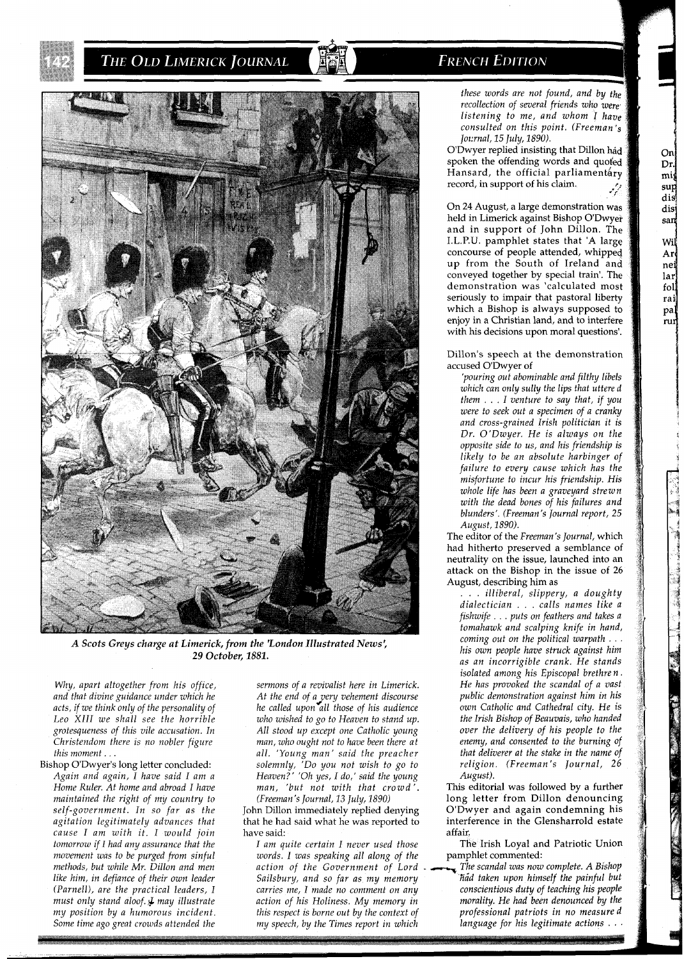

*A Scots Greys charge at Limerick, from the 'London Illustrated News: 29 October, 1881.* 

*Why, apart altogether from his office, and that divine guidance under which he acts, if we think only of the personality of Leo XIII we shall see the horrible grotesqueness of this vile accusation. In Christendom there is no nobler figure this moment* . . .

Bishop O'Dwyer's long letter concluded: *Again and again, I have said I am a Home Ruler. At home and abroad I have maintained the right of my country to self-government. In so far as the agitation legitimately advances that cause I am with it. I would join tomorrow if I had anu assurance that the maintained the right of my country to* (*Freeman's Journal, 13 July, 1890*) long letter from Dillon denouncing<br> *methods, but while Mr. Dillon and men* action of the Government of Lord *and ain* condemning his *agitation Some time ago great crowds attended the my speech, by the Times report in which language for his legitimate actions* . . .

*sermons of a revivalist here in Limerick. At the end of ayery vehement discourse he called upon all those of his audience who wished to go to Heaven to stand up. All stood up except one Catholic young man, who ought not to have been there at all. 'Young man' said the preacher solemnly, 'Do you not wish to go to Heaven?' 'Oh yes, I do,' said the young man, 'but not with that crowd'. (Freeman's Journal, 13 July, 1890)* 

John Dillon immediately replied denying that he had said what he was reported to have said:

*I am auite certain I never used those movement was to be purged from sinful words. I was speaking all along of the* **pamphlet commented:**<br> *methods, but while Mr. Dillon and men action of the Government of Lord*. The scandal was now complete. A Bishop *(Parnell), are the practical leaders, I carries me, I made no comment on any must only stand aloof. 4 may illustrate action of his Holiness. My memory in* 

# **FRENCH EDITION**

*these words are not found, and by the recollection of several friends who were listening to me, and whom I have consulted on this point. (Freeman* **'3**  *Jownal, 15 July, 1890).* 

O'Dwyer replied insisting that Dillon had spoken the offending words and quoted Hansard, the official parliamentary record, in support of his claim. **p:**  . *d*  **'f** 

On 24 August, a large demonstration was held in Limerick against Bishop O'Dwyer and in support of John Dillon. The I.L.P.U. pamphlet states that 'A large concourse of people attended, whipped up from the South of Ireland and conveyed together by special train'. The demonstration was 'calculated most seriously to impair that pastoral liberty which a Bishop is always supposed to enjoy in a Christian land, and to interfere with his decisions upon moral questions'.

### Dillon's speech at the demonstration accused O'Dwyer of

*'pouring out abominable and filthy libels which can only sully the lips that uttered them* . . . *I venture to say that, if you were to seek out a specimen of a cranky and cross-grained Irish politician it is Dr. O'Dwyer. He is always on the opposite side to us, and his friendship is likely to be an absolute harbinger of failure to every cause which has the misfortune to incur his friendship. His whole life has been a graveyard strewn with the dead bones of his failures and blunders'. (Freeman's Journal report, 25 August, 1890).* 

The editor of the *Freeman's Journal,* which had hitherto preserved a semblance of neutrality on the issue, launched into an attack on the Bishop in the issue of 26 August, describing him as

. . . *illiberal, slippery, a doughty dialectician* . . . *calls names like a fishwife* . . . *puts on feathers and takes a tomahawk and scalping knife in hand, coming out on the political warpath* . . . *his own people have struck against him as an incorrigible crank. He stands isolated among his Episcopal brethren. He has provoked the scandal of a vast public demonstration against him in his own Catholic and Cathedral city. He is the Irish Bishop of Beauvais, who handed over the delivery of his people to the enemy, and consented to the burning of that deliverer at the stake in the name of religion. (Freeman's Journal, 26 August).* 

This editorial was followed by a further long letter from Dillon denouncing O'Dwyer and again condemning his interference in the Glensharrold estate affair.

The Irish Loyal and Patriotic Union pamphlet commented:

*like him, in defiance of their own leader* Sailsbury, and so far as my memory **Kid taken upon himself the painful but** (Parnell), are the practical leaders, I carries me, I made no comment on any conscientious duty of tea *must only stand aloof.*  $\downarrow$  *may illustrate* action of his Holiness. My memory in a morality. He had been denounced by the context of the context of a professional patriots in no measure d *my position by a humorous incident. this respect is borne out by the context of professional patriots in no measured*  mij  $\sup$ dis dist san Wiľ Ar nei lar fol rai

> pal rur

**THE STATE OF STRAIGHT** 

On Dr.